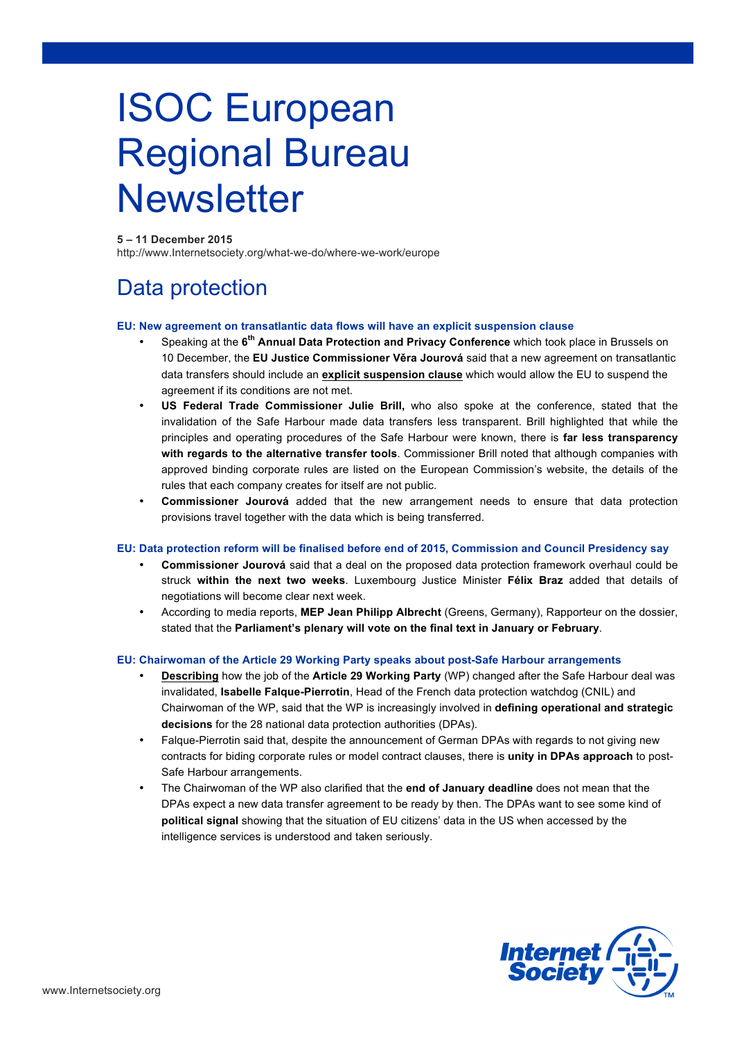# ISOC European Regional Bureau **Newsletter**

**5 – 11 December 2015**

http://www.Internetsociety.org/what-we-do/where-we-work/europe

# Data protection

#### **EU: New agreement on transatlantic data flows will have an explicit suspension clause**

- Speaking at the **6th Annual Data Protection and Privacy Conference** which took place in Brussels on 10 December, the **EU Justice Commissioner Věra Jourová** said that a new agreement on transatlantic data transfers should include an **explicit suspension clause** which would allow the EU to suspend the agreement if its conditions are not met.
- **US Federal Trade Commissioner Julie Brill,** who also spoke at the conference, stated that the invalidation of the Safe Harbour made data transfers less transparent. Brill highlighted that while the principles and operating procedures of the Safe Harbour were known, there is **far less transparency with regards to the alternative transfer tools**. Commissioner Brill noted that although companies with approved binding corporate rules are listed on the European Commission's website, the details of the rules that each company creates for itself are not public.
- **Commissioner Jourová** added that the new arrangement needs to ensure that data protection provisions travel together with the data which is being transferred.

#### **EU: Data protection reform will be finalised before end of 2015, Commission and Council Presidency say**

- **Commissioner Jourová** said that a deal on the proposed data protection framework overhaul could be struck **within the next two weeks**. Luxembourg Justice Minister **Félix Braz** added that details of negotiations will become clear next week.
- According to media reports, **MEP Jean Philipp Albrecht** (Greens, Germany), Rapporteur on the dossier, stated that the **Parliament's plenary will vote on the final text in January or February**.

#### **EU: Chairwoman of the Article 29 Working Party speaks about post-Safe Harbour arrangements**

- **Describing** how the job of the **Article 29 Working Party** (WP) changed after the Safe Harbour deal was invalidated, **Isabelle Falque-Pierrotin**, Head of the French data protection watchdog (CNIL) and Chairwoman of the WP, said that the WP is increasingly involved in **defining operational and strategic decisions** for the 28 national data protection authorities (DPAs).
- Falque-Pierrotin said that, despite the announcement of German DPAs with regards to not giving new contracts for biding corporate rules or model contract clauses, there is **unity in DPAs approach** to post-Safe Harbour arrangements.
- The Chairwoman of the WP also clarified that the **end of January deadline** does not mean that the DPAs expect a new data transfer agreement to be ready by then. The DPAs want to see some kind of **political signal** showing that the situation of EU citizens' data in the US when accessed by the intelligence services is understood and taken seriously.

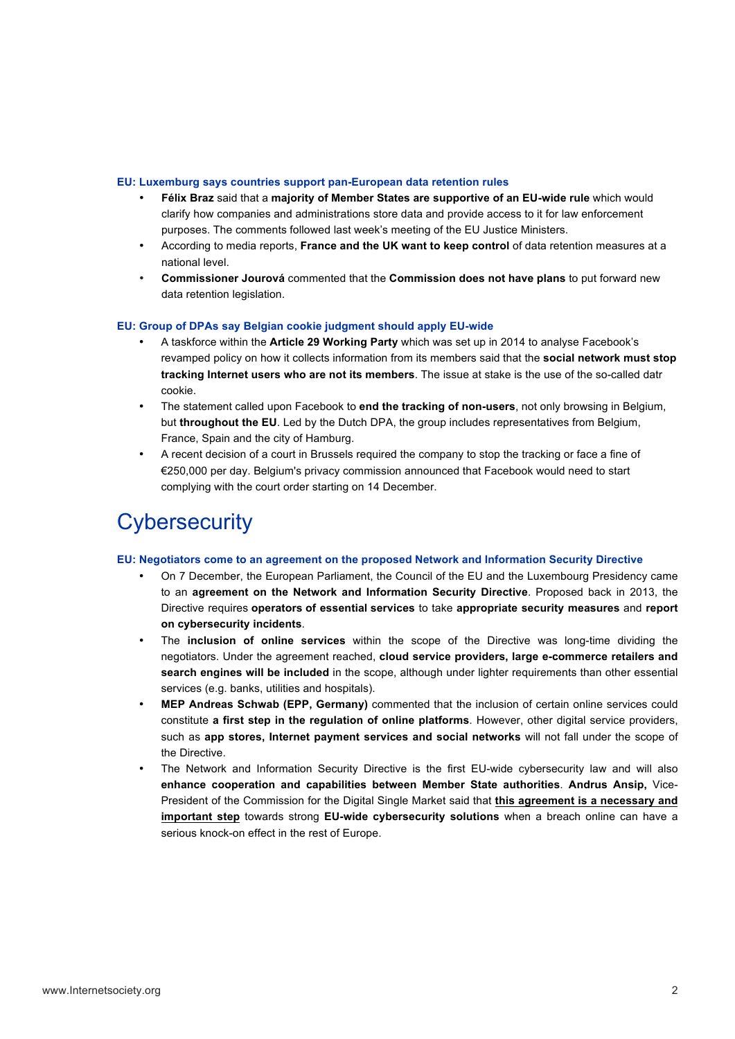#### **EU: Luxemburg says countries support pan-European data retention rules**

- **Félix Braz** said that a **majority of Member States are supportive of an EU-wide rule** which would clarify how companies and administrations store data and provide access to it for law enforcement purposes. The comments followed last week's meeting of the EU Justice Ministers.
- According to media reports, **France and the UK want to keep control** of data retention measures at a national level.
- **Commissioner Jourová** commented that the **Commission does not have plans** to put forward new data retention legislation.

#### **EU: Group of DPAs say Belgian cookie judgment should apply EU-wide**

- A taskforce within the **Article 29 Working Party** which was set up in 2014 to analyse Facebook's revamped policy on how it collects information from its members said that the **social network must stop tracking Internet users who are not its members**. The issue at stake is the use of the so-called datr cookie.
- The statement called upon Facebook to **end the tracking of non-users**, not only browsing in Belgium, but **throughout the EU**. Led by the Dutch DPA, the group includes representatives from Belgium, France, Spain and the city of Hamburg.
- A recent decision of a court in Brussels required the company to stop the tracking or face a fine of €250,000 per day. Belgium's privacy commission announced that Facebook would need to start complying with the court order starting on 14 December.

# **Cybersecurity**

#### **EU: Negotiators come to an agreement on the proposed Network and Information Security Directive**

- On 7 December, the European Parliament, the Council of the EU and the Luxembourg Presidency came to an **agreement on the Network and Information Security Directive**. Proposed back in 2013, the Directive requires **operators of essential services** to take **appropriate security measures** and **report on cybersecurity incidents**.
- The **inclusion of online services** within the scope of the Directive was long-time dividing the negotiators. Under the agreement reached, **cloud service providers, large e-commerce retailers and search engines will be included** in the scope, although under lighter requirements than other essential services (e.g. banks, utilities and hospitals).
- **MEP Andreas Schwab (EPP, Germany)** commented that the inclusion of certain online services could constitute **a first step in the regulation of online platforms**. However, other digital service providers, such as **app stores, Internet payment services and social networks** will not fall under the scope of the Directive.
- The Network and Information Security Directive is the first EU-wide cybersecurity law and will also **enhance cooperation and capabilities between Member State authorities**. **Andrus Ansip,** Vice-President of the Commission for the Digital Single Market said that **this agreement is a necessary and important step** towards strong **EU-wide cybersecurity solutions** when a breach online can have a serious knock-on effect in the rest of Europe.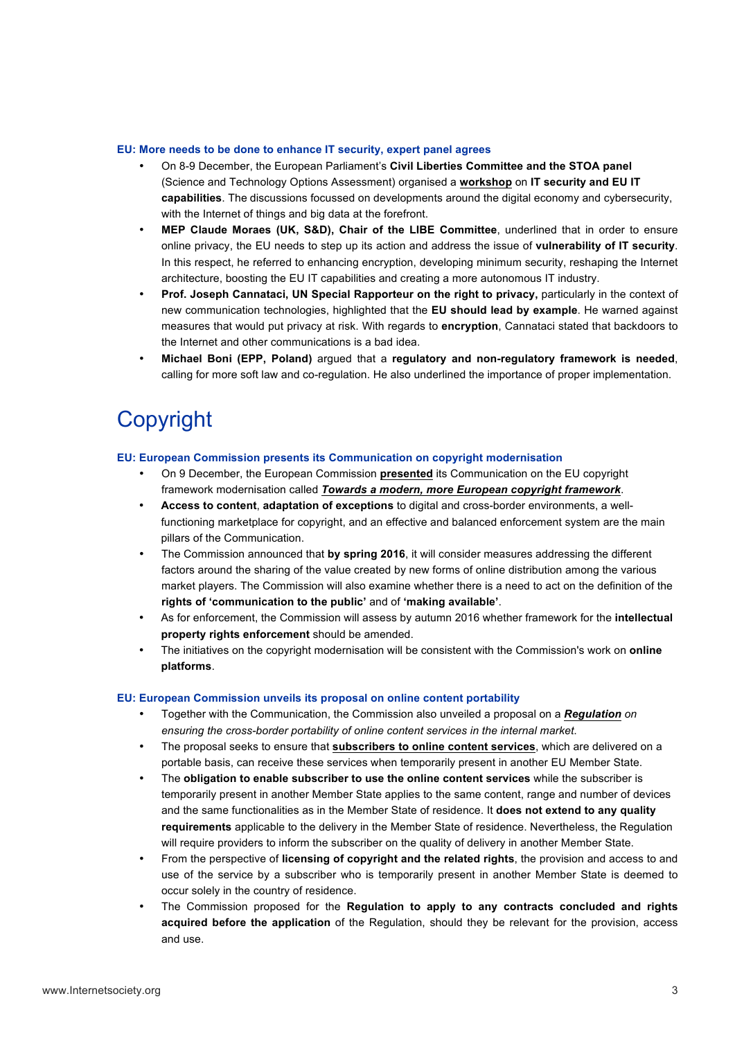#### **EU: More needs to be done to enhance IT security, expert panel agrees**

- On 8-9 December, the European Parliament's **Civil Liberties Committee and the STOA panel** (Science and Technology Options Assessment) organised a **workshop** on **IT security and EU IT capabilities**. The discussions focussed on developments around the digital economy and cybersecurity, with the Internet of things and big data at the forefront.
- **MEP Claude Moraes (UK, S&D), Chair of the LIBE Committee**, underlined that in order to ensure online privacy, the EU needs to step up its action and address the issue of **vulnerability of IT security**. In this respect, he referred to enhancing encryption, developing minimum security, reshaping the Internet architecture, boosting the EU IT capabilities and creating a more autonomous IT industry.
- **Prof. Joseph Cannataci, UN Special Rapporteur on the right to privacy,** particularly in the context of new communication technologies, highlighted that the **EU should lead by example**. He warned against measures that would put privacy at risk. With regards to **encryption**, Cannataci stated that backdoors to the Internet and other communications is a bad idea.
- **Michael Boni (EPP, Poland)** argued that a **regulatory and non-regulatory framework is needed**, calling for more soft law and co-regulation. He also underlined the importance of proper implementation.

# Copyright

#### **EU: European Commission presents its Communication on copyright modernisation**

- On 9 December, the European Commission **presented** its Communication on the EU copyright framework modernisation called *Towards a modern, more European copyright framework*.
- **Access to content**, **adaptation of exceptions** to digital and cross-border environments, a wellfunctioning marketplace for copyright, and an effective and balanced enforcement system are the main pillars of the Communication.
- The Commission announced that **by spring 2016**, it will consider measures addressing the different factors around the sharing of the value created by new forms of online distribution among the various market players. The Commission will also examine whether there is a need to act on the definition of the **rights of 'communication to the public'** and of **'making available'**.
- As for enforcement, the Commission will assess by autumn 2016 whether framework for the **intellectual property rights enforcement** should be amended.
- The initiatives on the copyright modernisation will be consistent with the Commission's work on **online platforms**.

#### **EU: European Commission unveils its proposal on online content portability**

- Together with the Communication, the Commission also unveiled a proposal on a *Regulation on ensuring the cross-border portability of online content services in the internal market*.
- The proposal seeks to ensure that **subscribers to online content services**, which are delivered on a portable basis, can receive these services when temporarily present in another EU Member State.
- The **obligation to enable subscriber to use the online content services** while the subscriber is temporarily present in another Member State applies to the same content, range and number of devices and the same functionalities as in the Member State of residence. It **does not extend to any quality requirements** applicable to the delivery in the Member State of residence. Nevertheless, the Regulation will require providers to inform the subscriber on the quality of delivery in another Member State.
- From the perspective of **licensing of copyright and the related rights**, the provision and access to and use of the service by a subscriber who is temporarily present in another Member State is deemed to occur solely in the country of residence.
- The Commission proposed for the **Regulation to apply to any contracts concluded and rights acquired before the application** of the Regulation, should they be relevant for the provision, access and use.